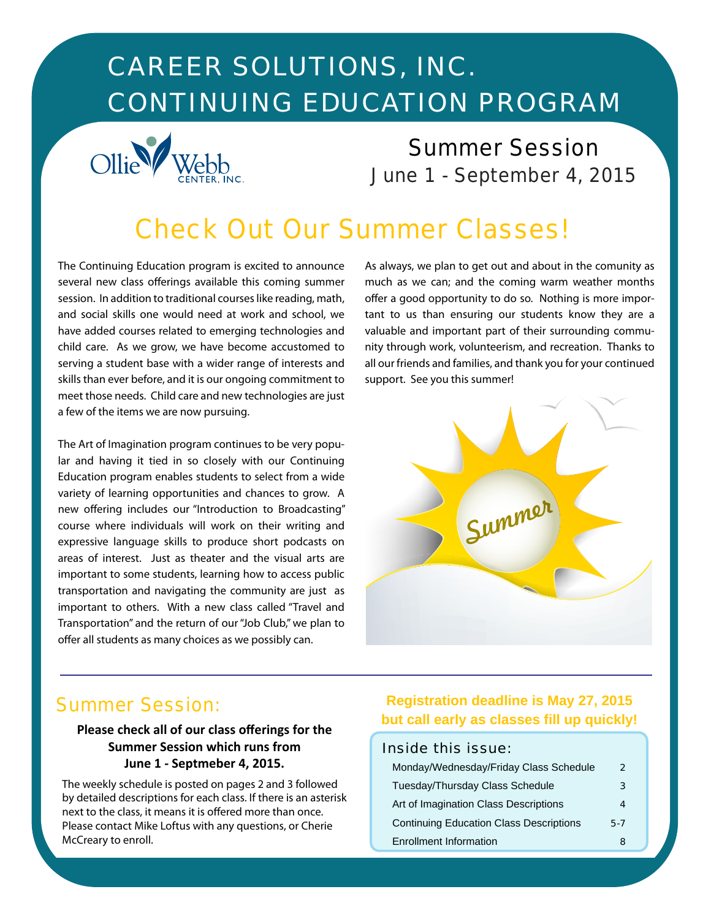# *CAREER SOLUTIONS, INC. CONTINUING EDUCATION PROGRAM*



# *Summer Session June 1 - September 4, 2015*

# *Check Out Our Summer Classes!*

The Continuing Education program is excited to announce several new class offerings available this coming summer session. In addition to traditional courses like reading, math, and social skills one would need at work and school, we have added courses related to emerging technologies and child care. As we grow, we have become accustomed to serving a student base with a wider range of interests and skills than ever before, and it is our ongoing commitment to meet those needs. Child care and new technologies are just a few of the items we are now pursuing.

The Art of Imagination program continues to be very popular and having it tied in so closely with our Continuing Education program enables students to select from a wide variety of learning opportunities and chances to grow. A new offering includes our "Introduction to Broadcasting" course where individuals will work on their writing and expressive language skills to produce short podcasts on areas of interest. Just as theater and the visual arts are important to some students, learning how to access public transportation and navigating the community are just as important to others. With a new class called "Travel and Transportation" and the return of our "Job Club," we plan to offer all students as many choices as we possibly can.

As always, we plan to get out and about in the comunity as much as we can; and the coming warm weather months offer a good opportunity to do so. Nothing is more important to us than ensuring our students know they are a valuable and important part of their surrounding community through work, volunteerism, and recreation. Thanks to all our friends and families, and thank you for your continued support. See you this summer!



### *Summer Session:*

### **Please check all of our class offerings for the Summer Session which runs from June 1 - Septmeber 4, 2015.**

The weekly schedule is posted on pages 2 and 3 followed by detailed descriptions for each class. If there is an asterisk next to the class, it means it is offered more than once. Please contact Mike Loftus with any questions, or Cherie McCreary to enroll.

### **Registration deadline is May 27, 2015 but call early as classes fill up quickly!**

### *Inside this issue:*

| Monday/Wednesday/Friday Class Schedule         | 2   |
|------------------------------------------------|-----|
| Tuesday/Thursday Class Schedule                | 3   |
| Art of Imagination Class Descriptions          |     |
| <b>Continuing Education Class Descriptions</b> | 5-7 |
| <b>Enrollment Information</b>                  |     |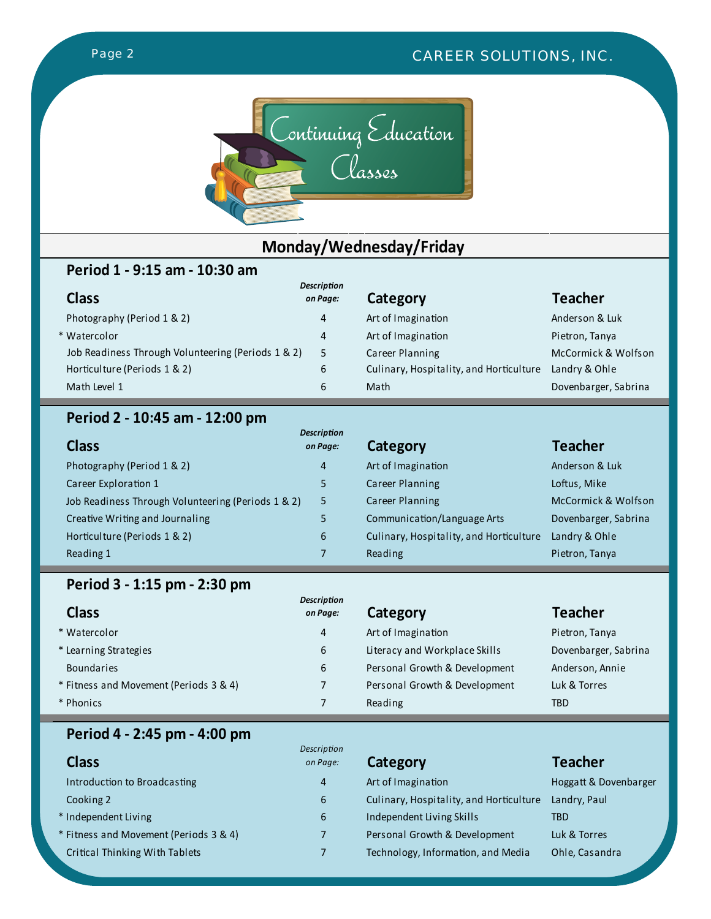

## **Monday/Wednesday/Friday**

### **Period 1 - 9:15 am - 10:30 am**

| <b>Class</b>                                       | <b>Description</b><br>on Page: | Category       |
|----------------------------------------------------|--------------------------------|----------------|
| Photography (Period 1 & 2)                         | 4                              | Art of Imagina |
| * Watercolor                                       | 4                              | Art of Imagina |
| Job Readiness Through Volunteering (Periods 1 & 2) | 5                              | Career Plannin |
| Horticulture (Periods 1 & 2)                       | 6                              | Culinary, Hosp |
| Math Level 1                                       | 6                              | Math           |

### **Teacher**

Photography (Period 1 Anderson & Luk tion **Art of Imagina** Pietron, Tanya ng Career Planning McCormick & Wolfson pitality, and Horticulture Landry & Ohle Dovenbarger, Sabrina

### **Period 2 - 10:45 am - 12:00 pm**

| <b>Class</b>                                       | <b>Description</b><br>on Page: | Category                                | <b>Teacher</b>       |
|----------------------------------------------------|--------------------------------|-----------------------------------------|----------------------|
| Photography (Period 1 & 2)                         | $\overline{4}$                 | Art of Imagination                      | Anderson & Luk       |
| Career Exploration 1                               | 5                              | Career Planning                         | Loftus, Mike         |
| Job Readiness Through Volunteering (Periods 1 & 2) | 5                              | Career Planning                         | McCormick & Wolfson  |
| Creative Writing and Journaling                    |                                | Communication/Language Arts             | Dovenbarger, Sabrina |
| Horticulture (Periods 1 & 2)                       | 6                              | Culinary, Hospitality, and Horticulture | Landry & Ohle        |
| Reading 1                                          |                                | Reading                                 | Pietron, Tanya       |

### **Period 3 - 1:15 pm - 2:30 pm**

| <b>Class</b>                           | <b>Description</b><br>on Page: | Category                      | <b>Teacher</b>       |
|----------------------------------------|--------------------------------|-------------------------------|----------------------|
| * Watercolor                           | 4                              | Art of Imagination            | Pietron, Tanya       |
| * Learning Strategies                  | 6                              | Literacy and Workplace Skills | Dovenbarger, Sabrina |
| <b>Boundaries</b>                      | 6                              | Personal Growth & Development | Anderson, Annie      |
| * Fitness and Movement (Periods 3 & 4) |                                | Personal Growth & Development | Luk & Torres         |
| * Phonics                              |                                | Reading                       | <b>TBD</b>           |

### **Period 4 - 2:45 pm - 4:00 pm**

| <b>Class</b>                           | <b>Description</b><br>on Page: | Category                                | <b>Teacher</b>        |
|----------------------------------------|--------------------------------|-----------------------------------------|-----------------------|
| Introduction to Broadcasting           | 4                              | Art of Imagination                      | Hoggatt & Dovenbarger |
| Cooking 2                              | 6                              | Culinary, Hospitality, and Horticulture | Landry, Paul          |
| * Independent Living                   | 6                              | Independent Living Skills               | TBD                   |
| * Fitness and Movement (Periods 3 & 4) |                                | Personal Growth & Development           | Luk & Torres          |
| Critical Thinking With Tablets         |                                | Technology, Information, and Media      | Ohle, Casandra        |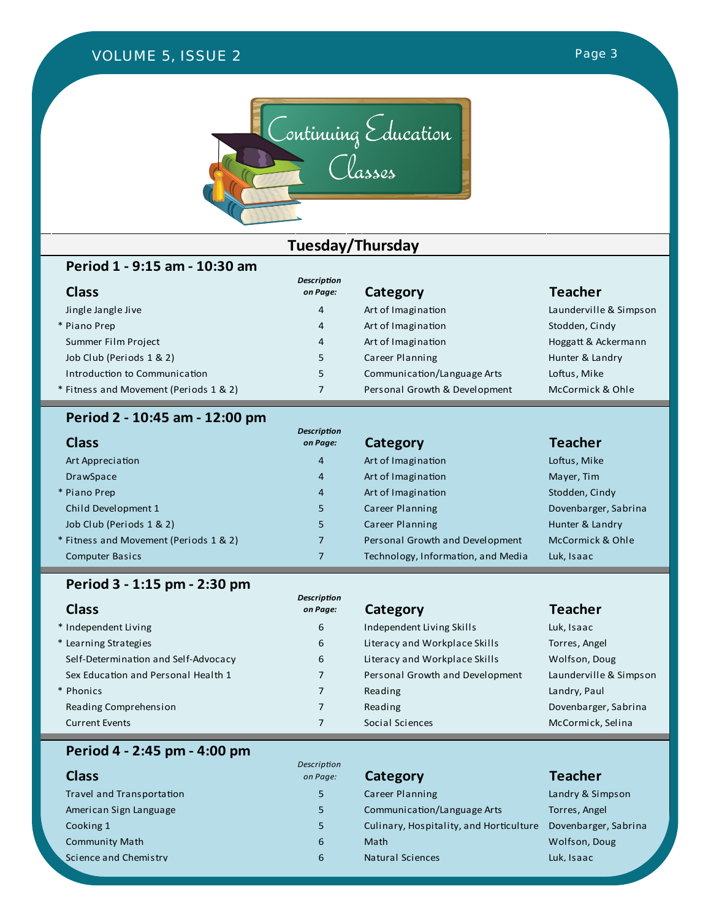### *VOLUME 4, ISSUE 2 VOLUME 5, ISSUE 2 VOLUME 4, ISSUE 1Page 3 Page 3*





## **Tuesday/Thursday**

### **Period 1 - 9:15 am - 10:30 am**

| <b>Class</b>                           | <b>Description</b><br>on Page: | Category                      | <b>Teacher</b>         |
|----------------------------------------|--------------------------------|-------------------------------|------------------------|
| Jingle Jangle Jive                     | 4                              | Art of Imagination            | Launderville & Simpson |
| * Piano Prep                           | 4                              | Art of Imagination            | Stodden, Cindy         |
| Summer Film Project                    | 4                              | Art of Imagination            | Hoggatt & Ackermann    |
| Job Club (Periods 1 & 2)               | 5                              | Career Planning               | Hunter & Landry        |
| Introduction to Communication          | 5                              | Communication/Language Arts   | Loftus, Mike           |
| * Fitness and Movement (Periods 1 & 2) |                                | Personal Growth & Development | McCormick & Ohle       |
|                                        |                                |                               |                        |

### **Period 2 - 10:45 am - 12:00 pm**

| <b>Class</b>                           | <b>Description</b><br>on Page: | Category                           | <b>Teacher</b>       |
|----------------------------------------|--------------------------------|------------------------------------|----------------------|
| Art Appreciation                       | $\overline{4}$                 | Art of Imagination                 | Loftus, Mike         |
| <b>DrawSpace</b>                       | $\overline{4}$                 | Art of Imagination                 | Mayer, Tim           |
| * Piano Prep                           | $\overline{4}$                 | Art of Imagination                 | Stodden, Cindy       |
| Child Development 1                    | 5                              | Career Planning                    | Dovenbarger, Sabrina |
| Job Club (Periods 1 & 2)               | 5                              | Career Planning                    | Hunter & Landry      |
| * Fitness and Movement (Periods 1 & 2) |                                | Personal Growth and Development    | McCormick & Ohle     |
| <b>Computer Basics</b>                 |                                | Technology, Information, and Media | Luk, Isaac           |

### **Period 3 - 1:15 pm - 2:30 pm**

| <b>Class</b>                         | <b>Description</b><br>on Page: | Category                        | <b>Teacher</b>         |
|--------------------------------------|--------------------------------|---------------------------------|------------------------|
| * Independent Living                 | 6                              | Independent Living Skills       | Luk, Isaac             |
| * Learning Strategies                | 6                              | Literacy and Workplace Skills   | Torres, Angel          |
| Self-Determination and Self-Advocacy | 6                              | Literacy and Workplace Skills   | Wolfson, Doug          |
| Sex Education and Personal Health 1  |                                | Personal Growth and Development | Launderville & Simpson |
| * Phonics                            |                                | Reading                         | Landry, Paul           |
| Reading Comprehension                |                                | Reading                         | Dovenbarger, Sabrina   |
| <b>Current Events</b>                |                                | Social Sciences                 | McCormick, Selina      |

### **Period 4 - 2:45 pm - 4:00 pm**

| <b>Class</b>              | Description<br>on Page: | Category                                | <b>Teacher</b>       |
|---------------------------|-------------------------|-----------------------------------------|----------------------|
| Travel and Transportation | 5.                      | Career Planning                         | Landry & Simpson     |
| American Sign Language    | 5.                      | Communication/Language Arts             | Torres, Angel        |
| Cooking 1                 | 5                       | Culinary, Hospitality, and Horticulture | Dovenbarger, Sabrina |
| <b>Community Math</b>     | 6                       | Math                                    | Wolfson, Doug        |
| Science and Chemistry     | 6                       | <b>Natural Sciences</b>                 | Luk, Isaac           |

| Category |
|----------|
|----------|

| Career Planning                         |
|-----------------------------------------|
| Communication/Language Arts             |
| Culinary, Hospitality, and Horticulture |
| Math                                    |
| Natural Sciences                        |

# **Teacher**

| andry & Simpson        |
|------------------------|
| Forres, Angel          |
| Dovenbarger, Sabrina   |
| Nolfson, Doug          |
| uk, Isaac <sub>-</sub> |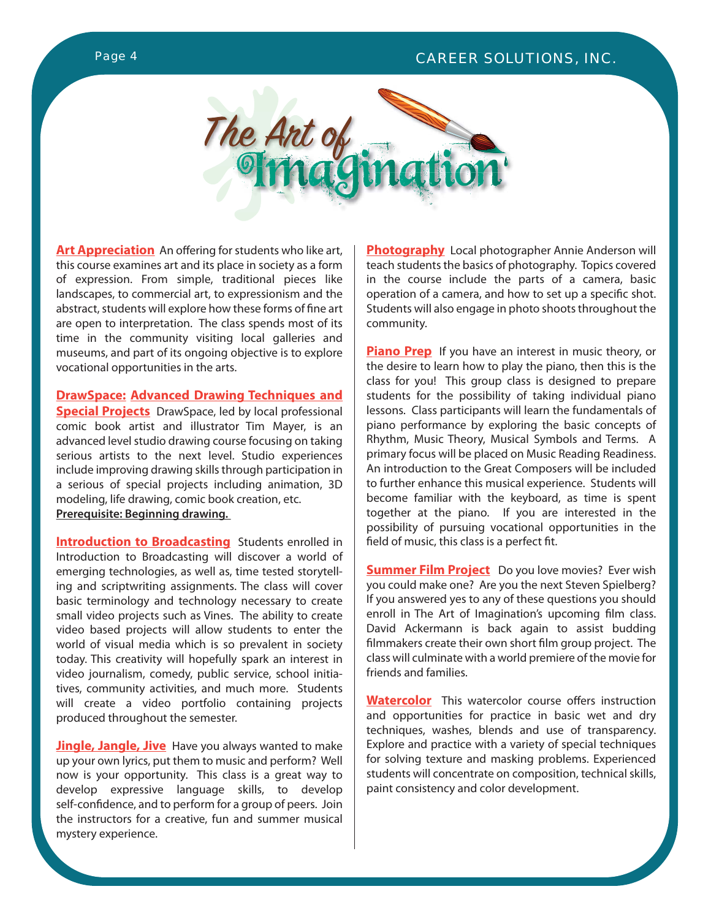### *Page 4 CAREER SOLUTIONS, INC.*



**Art Appreciation** An offering for students who like art, this course examines art and its place in society as a form of expression. From simple, traditional pieces like landscapes, to commercial art, to expressionism and the abstract, students will explore how these forms of fine art are open to interpretation. The class spends most of its time in the community visiting local galleries and museums, and part of its ongoing objective is to explore vocational opportunities in the arts.

**DrawSpace: Advanced Drawing Techniques and** 

**Special Projects** DrawSpace, led by local professional comic book artist and illustrator Tim Mayer, is an advanced level studio drawing course focusing on taking serious artists to the next level. Studio experiences include improving drawing skills through participation in a serious of special projects including animation, 3D modeling, life drawing, comic book creation, etc. **Prerequisite: Beginning drawing.** 

**Introduction to Broadcasting** Students enrolled in Introduction to Broadcasting will discover a world of emerging technologies, as well as, time tested storytelling and scriptwriting assignments. The class will cover basic terminology and technology necessary to create small video projects such as Vines. The ability to create video based projects will allow students to enter the world of visual media which is so prevalent in society today. This creativity will hopefully spark an interest in video journalism, comedy, public service, school initiatives, community activities, and much more. Students will create a video portfolio containing projects produced throughout the semester.

**Jingle, Jangle, Jive** Have you always wanted to make up your own lyrics, put them to music and perform? Well now is your opportunity. This class is a great way to develop expressive language skills, to develop self-confidence, and to perform for a group of peers. Join the instructors for a creative, fun and summer musical mystery experience.

**Photography** Local photographer Annie Anderson will teach students the basics of photography. Topics covered in the course include the parts of a camera, basic operation of a camera, and how to set up a specific shot. Students will also engage in photo shoots throughout the community.

**Piano Prep** If you have an interest in music theory, or the desire to learn how to play the piano, then this is the class for you! This group class is designed to prepare students for the possibility of taking individual piano lessons. Class participants will learn the fundamentals of piano performance by exploring the basic concepts of Rhythm, Music Theory, Musical Symbols and Terms. A primary focus will be placed on Music Reading Readiness. An introduction to the Great Composers will be included to further enhance this musical experience. Students will become familiar with the keyboard, as time is spent together at the piano. If you are interested in the possibility of pursuing vocational opportunities in the field of music, this class is a perfect fit.

**Summer Film Project** Do you love movies? Ever wish you could make one? Are you the next Steven Spielberg? If you answered yes to any of these questions you should enroll in The Art of Imagination's upcoming film class. David Ackermann is back again to assist budding filmmakers create their own short film group project. The class will culminate with a world premiere of the movie for friends and families.

**Watercolor** This watercolor course offers instruction and opportunities for practice in basic wet and dry techniques, washes, blends and use of transparency. Explore and practice with a variety of special techniques for solving texture and masking problems. Experienced students will concentrate on composition, technical skills, paint consistency and color development.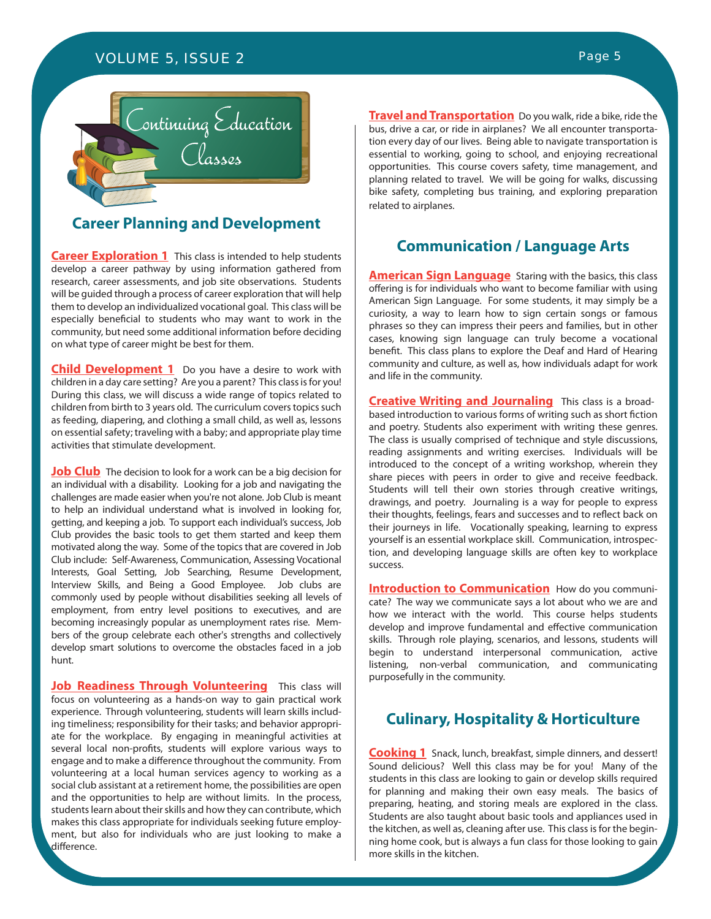### *VOLUME 5, ISSUE 2 Page 5*



### **Career Planning and Development**

**Career Exploration 1** This class is intended to help students develop a career pathway by using information gathered from research, career assessments, and job site observations. Students will be guided through a process of career exploration that will help them to develop an individualized vocational goal. This class will be especially beneficial to students who may want to work in the community, but need some additional information before deciding on what type of career might be best for them.

**Child Development 1** Do you have a desire to work with children in a day care setting? Are you a parent? This class is for you! During this class, we will discuss a wide range of topics related to children from birth to 3 years old. The curriculum covers topics such as feeding, diapering, and clothing a small child, as well as, lessons on essential safety; traveling with a baby; and appropriate play time activities that stimulate development.

**Job Club** The decision to look for a work can be a big decision for an individual with a disability. Looking for a job and navigating the challenges are made easier when you're not alone. Job Club is meant to help an individual understand what is involved in looking for, getting, and keeping a job. To support each individual's success, Job Club provides the basic tools to get them started and keep them motivated along the way. Some of the topics that are covered in Job Club include: Self-Awareness, Communication, Assessing Vocational Interests, Goal Setting, Job Searching, Resume Development, Interview Skills, and Being a Good Employee. Job clubs are commonly used by people without disabilities seeking all levels of employment, from entry level positions to executives, and are becoming increasingly popular as unemployment rates rise. Members of the group celebrate each other's strengths and collectively develop smart solutions to overcome the obstacles faced in a job hunt.

**Job Readiness Through Volunteering** This class will focus on volunteering as a hands-on way to gain practical work experience. Through volunteering, students will learn skills including timeliness; responsibility for their tasks; and behavior appropriate for the workplace. By engaging in meaningful activities at several local non-profits, students will explore various ways to engage and to make a difference throughout the community. From volunteering at a local human services agency to working as a social club assistant at a retirement home, the possibilities are open and the opportunities to help are without limits. In the process, students learn about their skills and how they can contribute, which makes this class appropriate for individuals seeking future employment, but also for individuals who are just looking to make a difference.

**Travel and Transportation** Do you walk, ride a bike, ride the bus, drive a car, or ride in airplanes? We all encounter transportation every day of our lives. Being able to navigate transportation is essential to working, going to school, and enjoying recreational opportunities. This course covers safety, time management, and planning related to travel. We will be going for walks, discussing bike safety, completing bus training, and exploring preparation related to airplanes.

### **Communication / Language Arts**

**American Sign Language** Staring with the basics, this class offering is for individuals who want to become familiar with using American Sign Language. For some students, it may simply be a curiosity, a way to learn how to sign certain songs or famous phrases so they can impress their peers and families, but in other cases, knowing sign language can truly become a vocational benefit. This class plans to explore the Deaf and Hard of Hearing community and culture, as well as, how individuals adapt for work and life in the community.

**Creative Writing and Journaling** This class is a broadbased introduction to various forms of writing such as short fiction and poetry. Students also experiment with writing these genres. The class is usually comprised of technique and style discussions, reading assignments and writing exercises. Individuals will be introduced to the concept of a writing workshop, wherein they share pieces with peers in order to give and receive feedback. Students will tell their own stories through creative writings, drawings, and poetry. Journaling is a way for people to express their thoughts, feelings, fears and successes and to reflect back on their journeys in life. Vocationally speaking, learning to express yourself is an essential workplace skill. Communication, introspection, and developing language skills are often key to workplace success.

**Introduction to Communication** How do you communicate? The way we communicate says a lot about who we are and how we interact with the world. This course helps students develop and improve fundamental and effective communication skills. Through role playing, scenarios, and lessons, students will begin to understand interpersonal communication, active listening, non-verbal communication, and communicating purposefully in the community.

### **Culinary, Hospitality & Horticulture**

**Cooking 1** Snack, lunch, breakfast, simple dinners, and dessert! Sound delicious? Well this class may be for you! Many of the students in this class are looking to gain or develop skills required for planning and making their own easy meals. The basics of preparing, heating, and storing meals are explored in the class. Students are also taught about basic tools and appliances used in the kitchen, as well as, cleaning after use. This class is for the beginning home cook, but is always a fun class for those looking to gain more skills in the kitchen.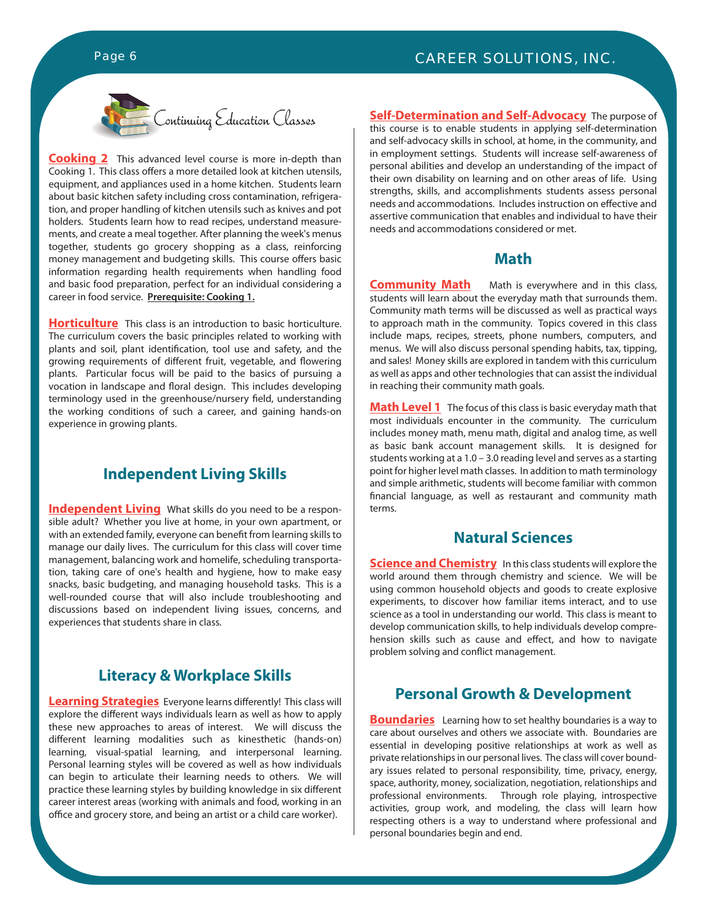

**Cooking 2** This advanced level course is more in-depth than Cooking 1. This class offers a more detailed look at kitchen utensils, equipment, and appliances used in a home kitchen. Students learn about basic kitchen safety including cross contamination, refrigeration, and proper handling of kitchen utensils such as knives and pot holders. Students learn how to read recipes, understand measurements, and create a meal together. After planning the week's menus together, students go grocery shopping as a class, reinforcing money management and budgeting skills. This course offers basic information regarding health requirements when handling food and basic food preparation, perfect for an individual considering a career in food service. **Prerequisite: Cooking 1.**

**Horticulture** This class is an introduction to basic horticulture. The curriculum covers the basic principles related to working with plants and soil, plant identification, tool use and safety, and the growing requirements of different fruit, vegetable, and flowering plants. Particular focus will be paid to the basics of pursuing a vocation in landscape and floral design. This includes developing terminology used in the greenhouse/nursery field, understanding the working conditions of such a career, and gaining hands-on experience in growing plants.

### **Independent Living Skills**

**Independent Living** What skills do you need to be a responsible adult? Whether you live at home, in your own apartment, or with an extended family, everyone can benefit from learning skills to manage our daily lives. The curriculum for this class will cover time management, balancing work and homelife, scheduling transportation, taking care of one's health and hygiene, how to make easy snacks, basic budgeting, and managing household tasks. This is a well-rounded course that will also include troubleshooting and discussions based on independent living issues, concerns, and experiences that students share in class.

### **Literacy & Workplace Skills**

**Learning Strategies** Everyone learns differently! This class will explore the different ways individuals learn as well as how to apply these new approaches to areas of interest. We will discuss the different learning modalities such as kinesthetic (hands-on) learning, visual-spatial learning, and interpersonal learning. Personal learning styles will be covered as well as how individuals can begin to articulate their learning needs to others. We will practice these learning styles by building knowledge in six different career interest areas (working with animals and food, working in an office and grocery store, and being an artist or a child care worker).

**Self-Determination and Self-Advocacy** The purpose of this course is to enable students in applying self-determination and self-advocacy skills in school, at home, in the community, and in employment settings. Students will increase self-awareness of personal abilities and develop an understanding of the impact of their own disability on learning and on other areas of life. Using strengths, skills, and accomplishments students assess personal needs and accommodations. Includes instruction on effective and assertive communication that enables and individual to have their needs and accommodations considered or met.

### **Math**

**Community Math** Math is everywhere and in this class, students will learn about the everyday math that surrounds them. Community math terms will be discussed as well as practical ways to approach math in the community. Topics covered in this class include maps, recipes, streets, phone numbers, computers, and menus. We will also discuss personal spending habits, tax, tipping, and sales! Money skills are explored in tandem with this curriculum as well as apps and other technologies that can assist the individual in reaching their community math goals.

**Math Level 1** The focus of this class is basic everyday math that most individuals encounter in the community. The curriculum includes money math, menu math, digital and analog time, as well as basic bank account management skills. It is designed for students working at a 1.0 – 3.0 reading level and serves as a starting point for higher level math classes. In addition to math terminology and simple arithmetic, students will become familiar with common financial language, as well as restaurant and community math terms.

### **Natural Sciences**

**Science and Chemistry** In this class students will explore the world around them through chemistry and science. We will be using common household objects and goods to create explosive experiments, to discover how familiar items interact, and to use science as a tool in understanding our world. This class is meant to develop communication skills, to help individuals develop comprehension skills such as cause and effect, and how to navigate problem solving and conflict management.

### **Personal Growth & Development**

**Boundaries** Learning how to set healthy boundaries is a way to care about ourselves and others we associate with. Boundaries are essential in developing positive relationships at work as well as private relationships in our personal lives. The class will cover boundary issues related to personal responsibility, time, privacy, energy, space, authority, money, socialization, negotiation, relationships and professional environments. Through role playing, introspective activities, group work, and modeling, the class will learn how respecting others is a way to understand where professional and personal boundaries begin and end.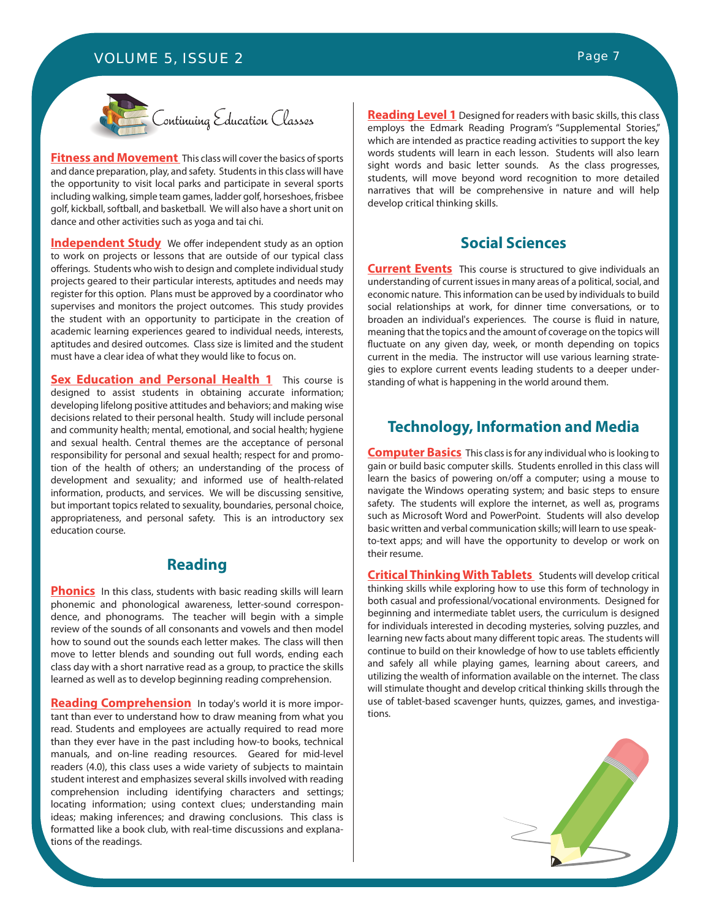### *VOLUME 5, ISSUE 2 Page 7*



**Fitness and Movement** This class will cover the basics of sports and dance preparation, play, and safety. Students in this class will have the opportunity to visit local parks and participate in several sports including walking, simple team games, ladder golf, horseshoes, frisbee golf, kickball, softball, and basketball. We will also have a short unit on dance and other activities such as yoga and tai chi.

**Independent Study** We offer independent study as an option to work on projects or lessons that are outside of our typical class offerings. Students who wish to design and complete individual study projects geared to their particular interests, aptitudes and needs may register for this option. Plans must be approved by a coordinator who supervises and monitors the project outcomes. This study provides the student with an opportunity to participate in the creation of academic learning experiences geared to individual needs, interests, aptitudes and desired outcomes. Class size is limited and the student must have a clear idea of what they would like to focus on.

**Sex Education and Personal Health 1** This course is designed to assist students in obtaining accurate information; developing lifelong positive attitudes and behaviors; and making wise decisions related to their personal health. Study will include personal and community health; mental, emotional, and social health; hygiene and sexual health. Central themes are the acceptance of personal responsibility for personal and sexual health; respect for and promotion of the health of others; an understanding of the process of development and sexuality; and informed use of health-related information, products, and services. We will be discussing sensitive, but important topics related to sexuality, boundaries, personal choice, appropriateness, and personal safety. This is an introductory sex education course.

### **Reading**

**Phonics** In this class, students with basic reading skills will learn phonemic and phonological awareness, letter-sound correspondence, and phonograms. The teacher will begin with a simple review of the sounds of all consonants and vowels and then model how to sound out the sounds each letter makes. The class will then move to letter blends and sounding out full words, ending each class day with a short narrative read as a group, to practice the skills learned as well as to develop beginning reading comprehension.

**Reading Comprehension** In today's world it is more important than ever to understand how to draw meaning from what you read. Students and employees are actually required to read more than they ever have in the past including how-to books, technical manuals, and on-line reading resources. Geared for mid-level readers (4.0), this class uses a wide variety of subjects to maintain student interest and emphasizes several skills involved with reading comprehension including identifying characters and settings; locating information; using context clues; understanding main ideas; making inferences; and drawing conclusions. This class is formatted like a book club, with real-time discussions and explanations of the readings.

**Reading Level 1** Designed for readers with basic skills, this class employs the Edmark Reading Program's "Supplemental Stories," which are intended as practice reading activities to support the key words students will learn in each lesson. Students will also learn sight words and basic letter sounds. As the class progresses, students, will move beyond word recognition to more detailed narratives that will be comprehensive in nature and will help develop critical thinking skills.

### **Social Sciences**

**Current Events** This course is structured to give individuals an understanding of current issues in many areas of a political, social, and economic nature. This information can be used by individuals to build social relationships at work, for dinner time conversations, or to broaden an individual's experiences. The course is fluid in nature, meaning that the topics and the amount of coverage on the topics will fluctuate on any given day, week, or month depending on topics current in the media. The instructor will use various learning strategies to explore current events leading students to a deeper understanding of what is happening in the world around them.

### **Technology, Information and Media**

**Computer Basics** This class is for any individual who is looking to gain or build basic computer skills. Students enrolled in this class will learn the basics of powering on/off a computer; using a mouse to navigate the Windows operating system; and basic steps to ensure safety. The students will explore the internet, as well as, programs such as Microsoft Word and PowerPoint. Students will also develop basic written and verbal communication skills; will learn to use speakto-text apps; and will have the opportunity to develop or work on their resume.

**Critical Thinking With Tablets** Students will develop critical thinking skills while exploring how to use this form of technology in both casual and professional/vocational environments. Designed for beginning and intermediate tablet users, the curriculum is designed for individuals interested in decoding mysteries, solving puzzles, and learning new facts about many different topic areas. The students will continue to build on their knowledge of how to use tablets efficiently and safely all while playing games, learning about careers, and utilizing the wealth of information available on the internet. The class will stimulate thought and develop critical thinking skills through the use of tablet-based scavenger hunts, quizzes, games, and investigations.